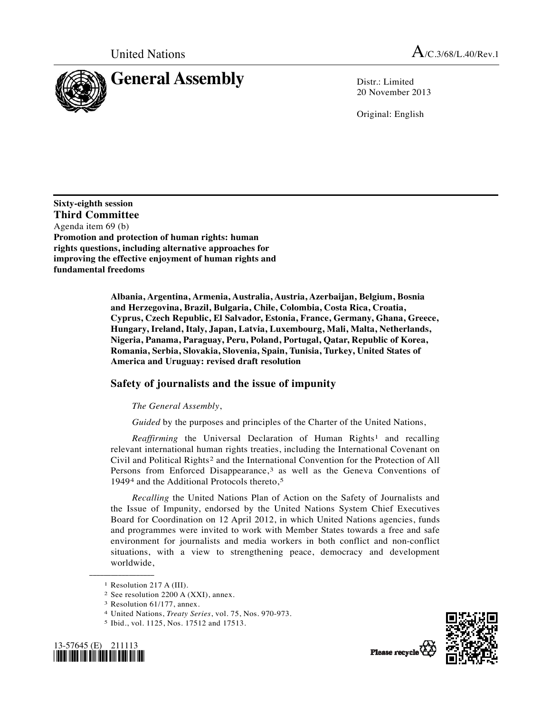

20 November 2013

Original: English

**Sixty-eighth session Third Committee** 

Agenda item 69 (b) **Promotion and protection of human rights: human rights questions, including alternative approaches for improving the effective enjoyment of human rights and fundamental freedoms** 

> **Albania, Argentina, Armenia, Australia, Austria, Azerbaijan, Belgium, Bosnia and Herzegovina, Brazil, Bulgaria, Chile, Colombia, Costa Rica, Croatia, Cyprus, Czech Republic, El Salvador, Estonia, France, Germany, Ghana, Greece, Hungary, Ireland, Italy, Japan, Latvia, Luxembourg, Mali, Malta, Netherlands, Nigeria, Panama, Paraguay, Peru, Poland, Portugal, Qatar, Republic of Korea, Romania, Serbia, Slovakia, Slovenia, Spain, Tunisia, Turkey, United States of America and Uruguay: revised draft resolution**

## **Safety of journalists and the issue of impunity**

## *The General Assembly*,

*Guided* by the purposes and principles of the Charter of the United Nations,

*Reaffirming* the Universal Declaration of Human Rights<sup>1</sup> and recalling relevant international human rights treaties, including the International Covenant on Civil and Political Rights[2](#page-0-1) and the International Convention for the Protection of All Persons from Enforced Disappearance,<sup>[3](#page-0-2)</sup> as well as the Geneva Conventions of 1949[4](#page-0-3) and the Additional Protocols thereto,[5](#page-0-4)

*Recalling* the United Nations Plan of Action on the Safety of Journalists and the Issue of Impunity, endorsed by the United Nations System Chief Executives Board for Coordination on 12 April 2012, in which United Nations agencies, funds and programmes were invited to work with Member States towards a free and safe environment for journalists and media workers in both conflict and non-conflict situations, with a view to strengthening peace, democracy and development worldwide,

**\_\_\_\_\_\_\_\_\_\_\_\_\_\_\_\_\_\_** 

<span id="page-0-4"></span><span id="page-0-3"></span><span id="page-0-2"></span><span id="page-0-1"></span><span id="page-0-0"></span>



<sup>1</sup> Resolution 217 A (III).

<sup>2</sup> See resolution 2200 A (XXI), annex.

<sup>3</sup> Resolution 61/177, annex.

<sup>4</sup> United Nations, *Treaty Series*, vol. 75, Nos. 970-973. 5 Ibid., vol. 1125, Nos. 17512 and 17513.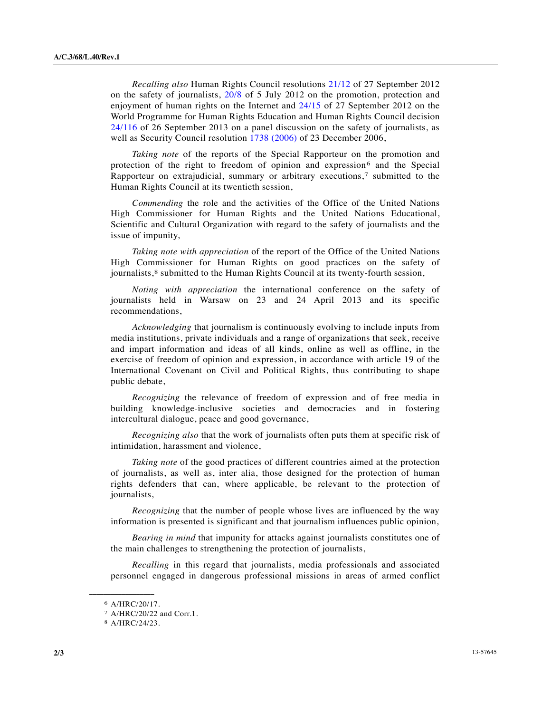*Recalling also* Human Rights Council resolutions [21/12](http://undocs.org/A/RES/21/12) of 27 September 2012 on the safety of journalists, [20/8](http://undocs.org/A/RES/20/8) of 5 July 2012 on the promotion, protection and enjoyment of human rights on the Internet and [24/15](http://undocs.org/A/RES/24/15) of 27 September 2012 on the World Programme for Human Rights Education and Human Rights Council decision [24/116](http://undocs.org/A/RES/24/116) of 26 September 2013 on a panel discussion on the safety of journalists, as well as Security Council resolution [1738 \(2006\)](http://undocs.org/S/RES/1738(2006)) of 23 December 2006,

*Taking note* of the reports of the Special Rapporteur on the promotion and protection of the right to freedom of opinion and expression[6](#page-1-0) and the Special Rapporteur on extrajudicial, summary or arbitrary executions,[7](#page-1-1) submitted to the Human Rights Council at its twentieth session,

*Commending* the role and the activities of the Office of the United Nations High Commissioner for Human Rights and the United Nations Educational, Scientific and Cultural Organization with regard to the safety of journalists and the issue of impunity,

*Taking note with appreciation* of the report of the Office of the United Nations High Commissioner for Human Rights on good practices on the safety of journalists,[8](#page-1-2) submitted to the Human Rights Council at its twenty-fourth session,

*Noting with appreciation* the international conference on the safety of journalists held in Warsaw on 23 and 24 April 2013 and its specific recommendations,

*Acknowledging* that journalism is continuously evolving to include inputs from media institutions, private individuals and a range of organizations that seek, receive and impart information and ideas of all kinds, online as well as offline, in the exercise of freedom of opinion and expression, in accordance with article 19 of the International Covenant on Civil and Political Rights, thus contributing to shape public debate,

*Recognizing* the relevance of freedom of expression and of free media in building knowledge-inclusive societies and democracies and in fostering intercultural dialogue, peace and good governance,

*Recognizing also* that the work of journalists often puts them at specific risk of intimidation, harassment and violence,

*Taking note* of the good practices of different countries aimed at the protection of journalists, as well as, inter alia, those designed for the protection of human rights defenders that can, where applicable, be relevant to the protection of journalists,

*Recognizing* that the number of people whose lives are influenced by the way information is presented is significant and that journalism influences public opinion,

*Bearing in mind* that impunity for attacks against journalists constitutes one of the main challenges to strengthening the protection of journalists,

*Recalling* in this regard that journalists, media professionals and associated personnel engaged in dangerous professional missions in areas of armed conflict

<span id="page-1-2"></span><span id="page-1-1"></span><span id="page-1-0"></span>**\_\_\_\_\_\_\_\_\_\_\_\_\_\_\_\_\_\_** 

<sup>6</sup> A/HRC/20/17.

<sup>7</sup> A/HRC/20/22 and Corr.1.

<sup>8</sup> A/HRC/24/23.